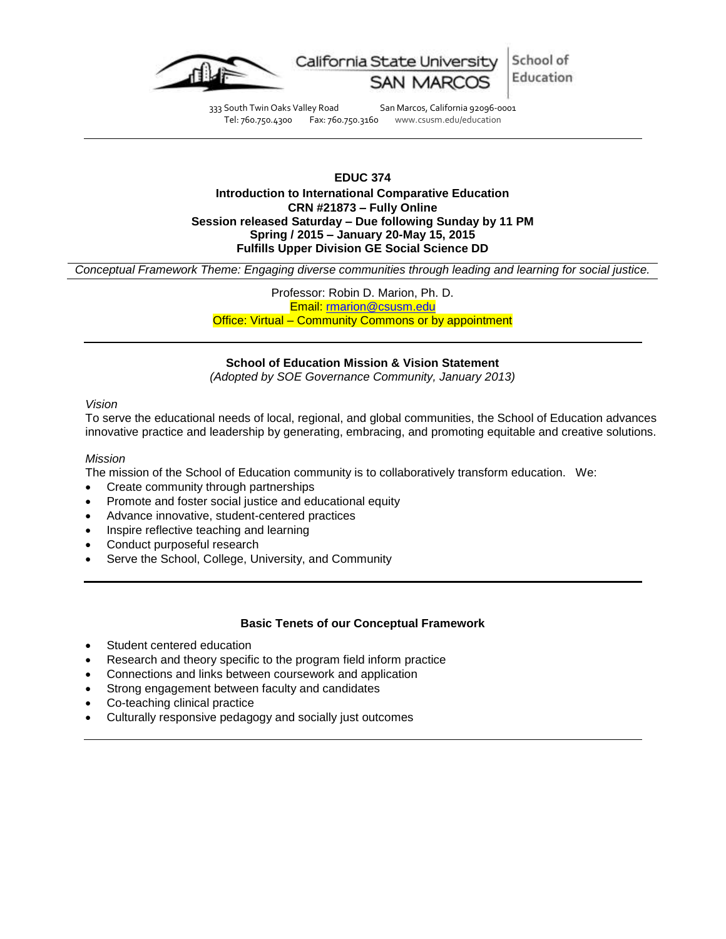

333 South Twin Oaks Valley Road San Marcos, California 92096-0001<br>Tel: 760.750.4300 Fax: 760.750.3160 www.csusm.edu/education Tel: 760.750.4300 Fax: 760.750.3160 www.csusm.edu/education

# **EDUC 374 Introduction to International Comparative Education CRN #21873 – Fully Online Session released Saturday – Due following Sunday by 11 PM Spring / 2015 – January 20-May 15, 2015 Fulfills Upper Division GE Social Science DD**

*Conceptual Framework Theme: Engaging diverse communities through leading and learning for social justice.*

Professor: Robin D. Marion, Ph. D. Email: [rmarion@csusm.edu](mailto:rmarion@csusm.edu) Office: Virtual – Community Commons or by appointment

## **School of Education Mission & Vision Statement**

*(Adopted by SOE Governance Community, January 2013)*

## *Vision*

To serve the educational needs of local, regional, and global communities, the School of Education advances innovative practice and leadership by generating, embracing, and promoting equitable and creative solutions.

## *Mission*

The mission of the School of Education community is to collaboratively transform education. We:

- Create community through partnerships
- Promote and foster social justice and educational equity
- Advance innovative, student-centered practices
- Inspire reflective teaching and learning
- Conduct purposeful research
- Serve the School, College, University, and Community

# **Basic Tenets of our Conceptual Framework**

- Student centered education
- Research and theory specific to the program field inform practice
- Connections and links between coursework and application
- Strong engagement between faculty and candidates
- Co-teaching clinical practice
- Culturally responsive pedagogy and socially just outcomes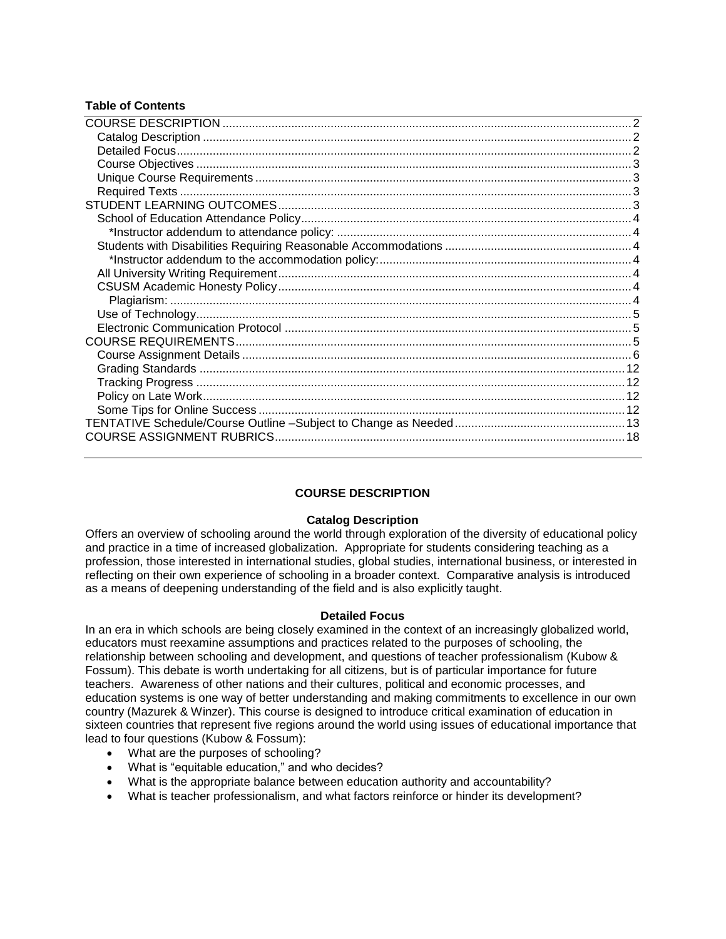# **Table of Contents**

# **COURSE DESCRIPTION**

# **Catalog Description**

<span id="page-1-1"></span><span id="page-1-0"></span>Offers an overview of schooling around the world through exploration of the diversity of educational policy and practice in a time of increased globalization. Appropriate for students considering teaching as a profession, those interested in international studies, global studies, international business, or interested in reflecting on their own experience of schooling in a broader context. Comparative analysis is introduced as a means of deepening understanding of the field and is also explicitly taught.

## **Detailed Focus**

<span id="page-1-2"></span>In an era in which schools are being closely examined in the context of an increasingly globalized world, educators must reexamine assumptions and practices related to the purposes of schooling, the relationship between schooling and development, and questions of teacher professionalism (Kubow & Fossum). This debate is worth undertaking for all citizens, but is of particular importance for future teachers. Awareness of other nations and their cultures, political and economic processes, and education systems is one way of better understanding and making commitments to excellence in our own country (Mazurek & Winzer). This course is designed to introduce critical examination of education in sixteen countries that represent five regions around the world using issues of educational importance that lead to four questions (Kubow & Fossum):

- What are the purposes of schooling?
- What is "equitable education," and who decides?
- What is the appropriate balance between education authority and accountability?
- <span id="page-1-3"></span>What is teacher professionalism, and what factors reinforce or hinder its development?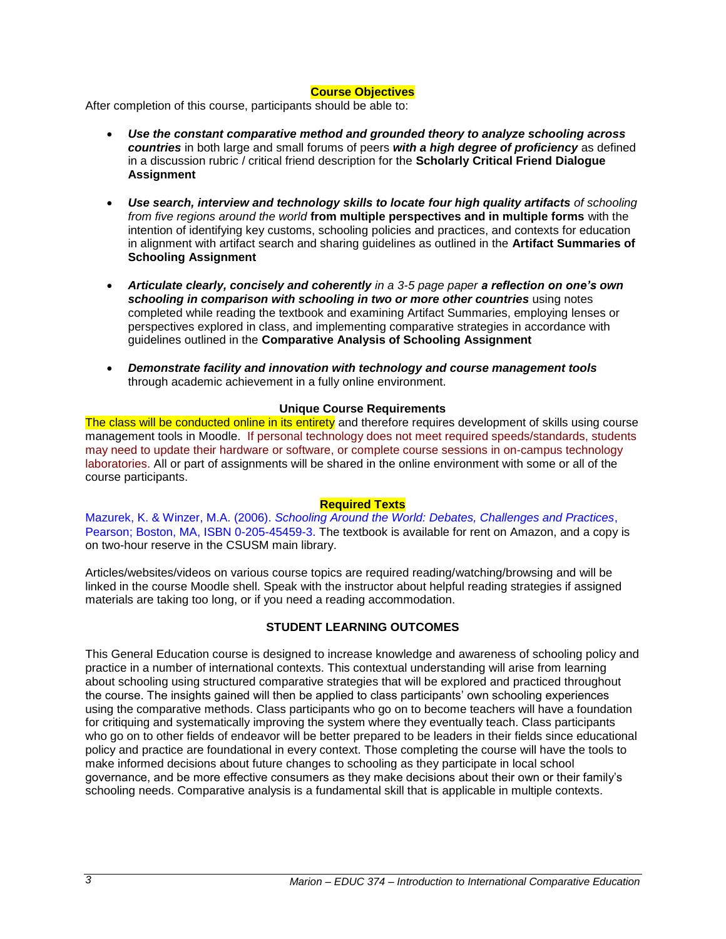## **Course Objectives**

After completion of this course, participants should be able to:

- *Use the constant comparative method and grounded theory to analyze schooling across countries* in both large and small forums of peers *with a high degree of proficiency* as defined in a discussion rubric / critical friend description for the **Scholarly Critical Friend Dialogue Assignment**
- *Use search, interview and technology skills to locate four high quality artifacts of schooling from five regions around the world* **from multiple perspectives and in multiple forms** with the intention of identifying key customs, schooling policies and practices, and contexts for education in alignment with artifact search and sharing guidelines as outlined in the **Artifact Summaries of Schooling Assignment**
- *Articulate clearly, concisely and coherently in a 3-5 page paper a reflection on one's own schooling in comparison with schooling in two or more other countries* using notes completed while reading the textbook and examining Artifact Summaries, employing lenses or perspectives explored in class, and implementing comparative strategies in accordance with guidelines outlined in the **Comparative Analysis of Schooling Assignment**
- *Demonstrate facility and innovation with technology and course management tools* through academic achievement in a fully online environment.

## **Unique Course Requirements**

<span id="page-2-0"></span>The class will be conducted online in its entirety and therefore requires development of skills using course management tools in Moodle. If personal technology does not meet required speeds/standards, students may need to update their hardware or software, or complete course sessions in on-campus technology laboratories. All or part of assignments will be shared in the online environment with some or all of the course participants.

## **Required Texts**

<span id="page-2-1"></span>Mazurek, K. & Winzer, M.A. (2006). *Schooling Around the World: Debates, Challenges and Practices*, Pearson; Boston, MA, ISBN 0-205-45459-3. The textbook is available for rent on Amazon, and a copy is on two-hour reserve in the CSUSM main library.

Articles/websites/videos on various course topics are required reading/watching/browsing and will be linked in the course Moodle shell. Speak with the instructor about helpful reading strategies if assigned materials are taking too long, or if you need a reading accommodation.

# **STUDENT LEARNING OUTCOMES**

<span id="page-2-2"></span>This General Education course is designed to increase knowledge and awareness of schooling policy and practice in a number of international contexts. This contextual understanding will arise from learning about schooling using structured comparative strategies that will be explored and practiced throughout the course. The insights gained will then be applied to class participants' own schooling experiences using the comparative methods. Class participants who go on to become teachers will have a foundation for critiquing and systematically improving the system where they eventually teach. Class participants who go on to other fields of endeavor will be better prepared to be leaders in their fields since educational policy and practice are foundational in every context. Those completing the course will have the tools to make informed decisions about future changes to schooling as they participate in local school governance, and be more effective consumers as they make decisions about their own or their family's schooling needs. Comparative analysis is a fundamental skill that is applicable in multiple contexts.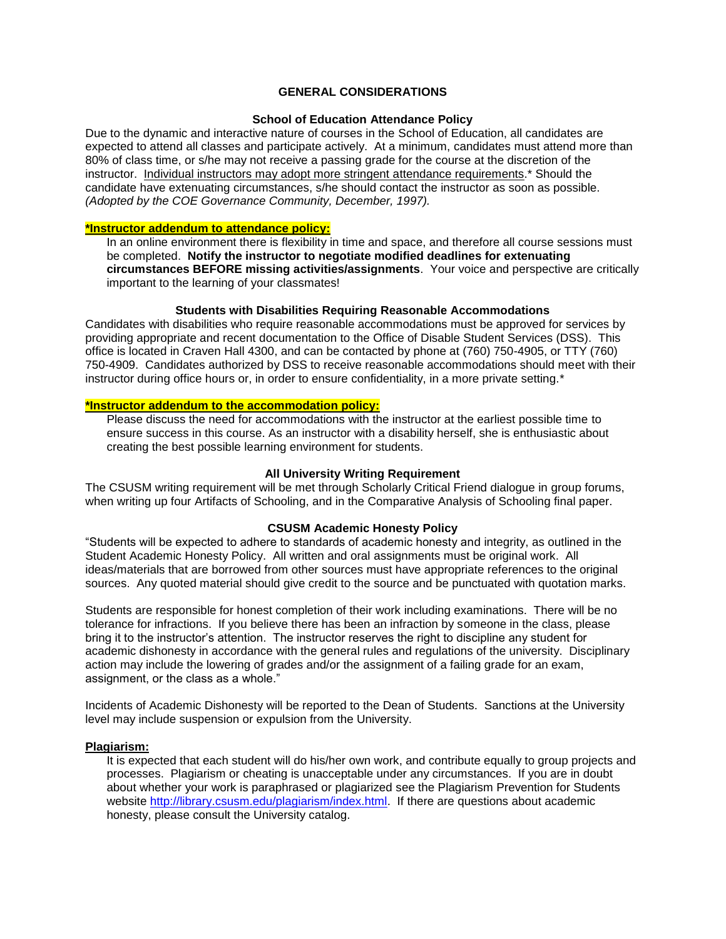# **GENERAL CONSIDERATIONS**

### **School of Education Attendance Policy**

<span id="page-3-0"></span>Due to the dynamic and interactive nature of courses in the School of Education, all candidates are expected to attend all classes and participate actively. At a minimum, candidates must attend more than 80% of class time, or s/he may not receive a passing grade for the course at the discretion of the instructor. Individual instructors may adopt more stringent attendance requirements.\* Should the candidate have extenuating circumstances, s/he should contact the instructor as soon as possible. *(Adopted by the COE Governance Community, December, 1997).*

#### <span id="page-3-1"></span>**\*Instructor addendum to attendance policy:**

In an online environment there is flexibility in time and space, and therefore all course sessions must be completed. **Notify the instructor to negotiate modified deadlines for extenuating circumstances BEFORE missing activities/assignments**. Your voice and perspective are critically important to the learning of your classmates!

#### **Students with Disabilities Requiring Reasonable Accommodations**

<span id="page-3-2"></span>Candidates with disabilities who require reasonable accommodations must be approved for services by providing appropriate and recent documentation to the Office of Disable Student Services (DSS). This office is located in Craven Hall 4300, and can be contacted by phone at (760) 750-4905, or TTY (760) 750-4909. Candidates authorized by DSS to receive reasonable accommodations should meet with their instructor during office hours or, in order to ensure confidentiality, in a more private setting.\*

## <span id="page-3-3"></span>**\*Instructor addendum to the accommodation policy:**

Please discuss the need for accommodations with the instructor at the earliest possible time to ensure success in this course. As an instructor with a disability herself, she is enthusiastic about creating the best possible learning environment for students.

#### **All University Writing Requirement**

<span id="page-3-4"></span>The CSUSM writing requirement will be met through Scholarly Critical Friend dialogue in group forums, when writing up four Artifacts of Schooling, and in the Comparative Analysis of Schooling final paper.

#### **CSUSM Academic Honesty Policy**

<span id="page-3-5"></span>"Students will be expected to adhere to standards of academic honesty and integrity, as outlined in the Student Academic Honesty Policy. All written and oral assignments must be original work. All ideas/materials that are borrowed from other sources must have appropriate references to the original sources. Any quoted material should give credit to the source and be punctuated with quotation marks.

Students are responsible for honest completion of their work including examinations. There will be no tolerance for infractions. If you believe there has been an infraction by someone in the class, please bring it to the instructor's attention. The instructor reserves the right to discipline any student for academic dishonesty in accordance with the general rules and regulations of the university. Disciplinary action may include the lowering of grades and/or the assignment of a failing grade for an exam, assignment, or the class as a whole."

Incidents of Academic Dishonesty will be reported to the Dean of Students. Sanctions at the University level may include suspension or expulsion from the University.

#### <span id="page-3-6"></span>**Plagiarism:**

It is expected that each student will do his/her own work, and contribute equally to group projects and processes. Plagiarism or cheating is unacceptable under any circumstances. If you are in doubt about whether your work is paraphrased or plagiarized see the Plagiarism Prevention for Students website [http://library.csusm.edu/plagiarism/index.html.](http://library.csusm.edu/plagiarism/index.html) If there are questions about academic honesty, please consult the University catalog.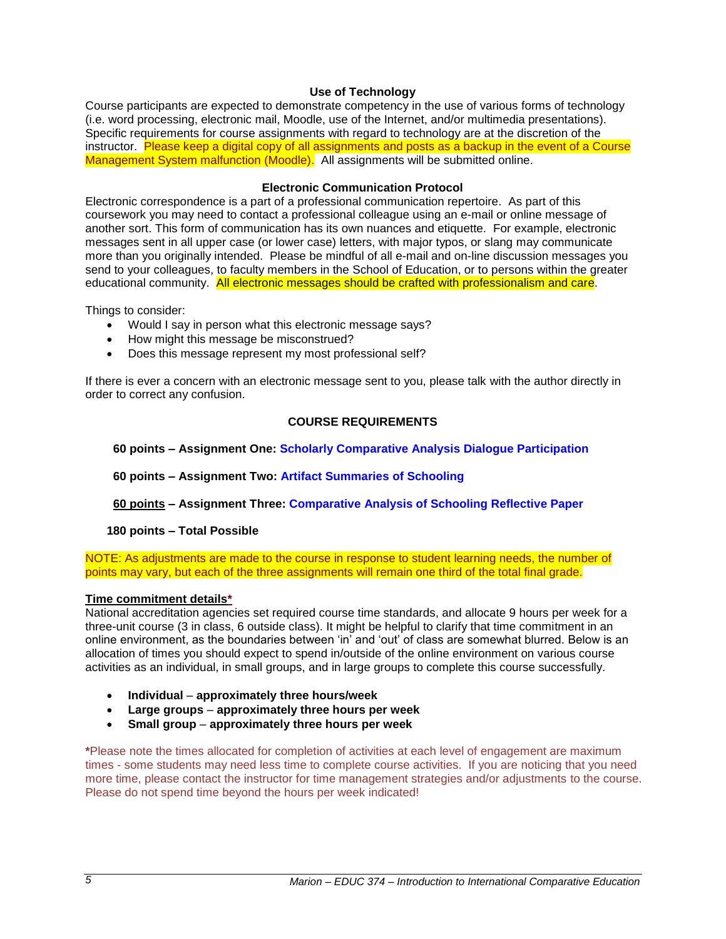# **Use of Technology**

<span id="page-4-0"></span>Course participants are expected to demonstrate competency in the use of various forms of technology (i.e. word processing, electronic mail, Moodle, use of the Internet, and/or multimedia presentations). Specific requirements for course assignments with regard to technology are at the discretion of the instructor. Please keep a digital copy of all assignments and posts as a backup in the event of a Course Management System malfunction (Moodle). All assignments will be submitted online.

## **Electronic Communication Protocol**

<span id="page-4-1"></span>Electronic correspondence is a part of a professional communication repertoire. As part of this coursework you may need to contact a professional colleague using an e-mail or online message of another sort. This form of communication has its own nuances and etiquette. For example, electronic messages sent in all upper case (or lower case) letters, with major typos, or slang may communicate more than you originally intended. Please be mindful of all e-mail and on-line discussion messages you send to your colleagues, to faculty members in the School of Education, or to persons within the greater educational community. All electronic messages should be crafted with professionalism and care.

Things to consider:

- Would I say in person what this electronic message says?
- How might this message be misconstrued?
- Does this message represent my most professional self?

<span id="page-4-2"></span>If there is ever a concern with an electronic message sent to you, please talk with the author directly in order to correct any confusion.

## **COURSE REQUIREMENTS**

 **60 points – Assignment One: Scholarly Comparative Analysis Dialogue Participation**

 **60 points – Assignment Two: Artifact Summaries of Schooling**

 **60 points – Assignment Three: Comparative Analysis of Schooling Reflective Paper**

# **180 points – Total Possible**

NOTE: As adjustments are made to the course in response to student learning needs, the number of points may vary, but each of the three assignments will remain one third of the total final grade.

## **Time commitment details\***

National accreditation agencies set required course time standards, and allocate 9 hours per week for a three-unit course (3 in class, 6 outside class). It might be helpful to clarify that time commitment in an online environment, as the boundaries between 'in' and 'out' of class are somewhat blurred. Below is an allocation of times you should expect to spend in/outside of the online environment on various course activities as an individual, in small groups, and in large groups to complete this course successfully.

- **Individual approximately three hours/week**
- **Large groups approximately three hours per week**
- **Small group approximately three hours per week**

**\***Please note the times allocated for completion of activities at each level of engagement are maximum times - some students may need less time to complete course activities. If you are noticing that you need more time, please contact the instructor for time management strategies and/or adjustments to the course. Please do not spend time beyond the hours per week indicated!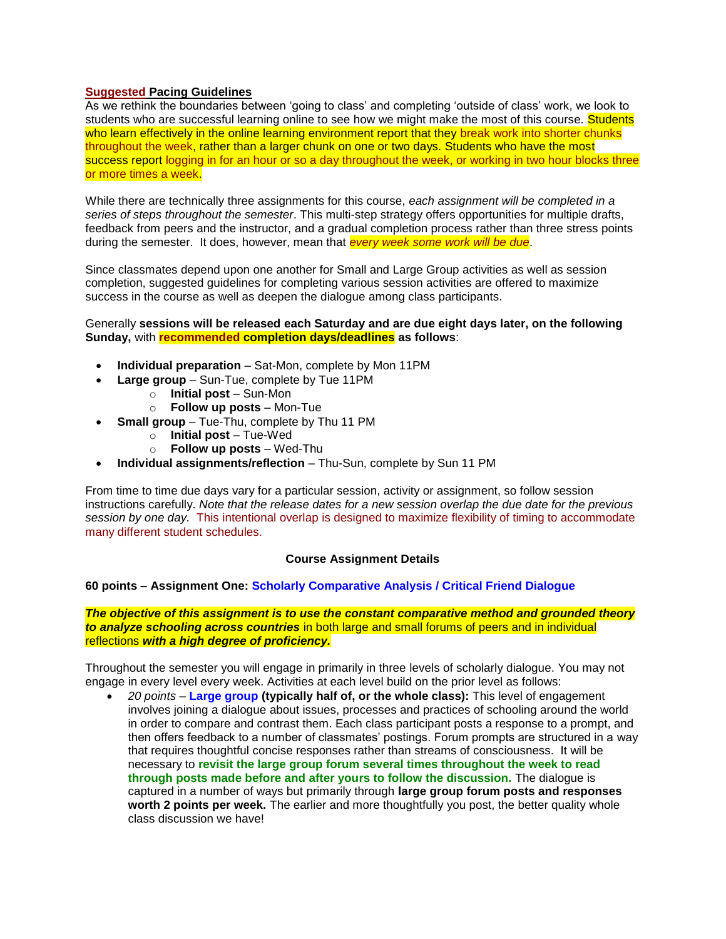## **Suggested Pacing Guidelines**

As we rethink the boundaries between 'going to class' and completing 'outside of class' work, we look to students who are successful learning online to see how we might make the most of this course. Students who learn effectively in the online learning environment report that they break work into shorter chunks throughout the week, rather than a larger chunk on one or two days. Students who have the most success report logging in for an hour or so a day throughout the week, or working in two hour blocks three or more times a week.

While there are technically three assignments for this course, *each assignment will be completed in a series of steps throughout the semester*. This multi-step strategy offers opportunities for multiple drafts, feedback from peers and the instructor, and a gradual completion process rather than three stress points during the semester. It does, however, mean that *every week some work will be due*.

Since classmates depend upon one another for Small and Large Group activities as well as session completion, suggested guidelines for completing various session activities are offered to maximize success in the course as well as deepen the dialogue among class participants.

### Generally **sessions will be released each Saturday and are due eight days later, on the following Sunday,** with **recommended completion days/deadlines as follows**:

- **Individual preparation** Sat-Mon, complete by Mon 11PM
- **Large group**  Sun-Tue, complete by Tue 11PM
	- o **Initial post** Sun-Mon
	- o **Follow up posts** Mon-Tue
- **Small group** Tue-Thu, complete by Thu 11 PM
	- o **Initial post**  Tue-Wed
	- o **Follow up posts**  Wed-Thu
- **Individual assignments/reflection** Thu-Sun, complete by Sun 11 PM

From time to time due days vary for a particular session, activity or assignment, so follow session instructions carefully. *Note that the release dates for a new session overlap the due date for the previous session by one day.* This intentional overlap is designed to maximize flexibility of timing to accommodate many different student schedules.

## **Course Assignment Details**

# <span id="page-5-0"></span>**60 points – Assignment One: Scholarly Comparative Analysis / Critical Friend Dialogue**

*The objective of this assignment is to use the constant comparative method and grounded theory to analyze schooling across countries* in both large and small forums of peers and in individual reflections *with a high degree of proficiency.*

Throughout the semester you will engage in primarily in three levels of scholarly dialogue. You may not engage in every level every week. Activities at each level build on the prior level as follows:

 *20 points* – **Large group (typically half of, or the whole class):** This level of engagement involves joining a dialogue about issues, processes and practices of schooling around the world in order to compare and contrast them. Each class participant posts a response to a prompt, and then offers feedback to a number of classmates' postings. Forum prompts are structured in a way that requires thoughtful concise responses rather than streams of consciousness. It will be necessary to **revisit the large group forum several times throughout the week to read through posts made before and after yours to follow the discussion.** The dialogue is captured in a number of ways but primarily through **large group forum posts and responses worth 2 points per week.** The earlier and more thoughtfully you post, the better quality whole class discussion we have!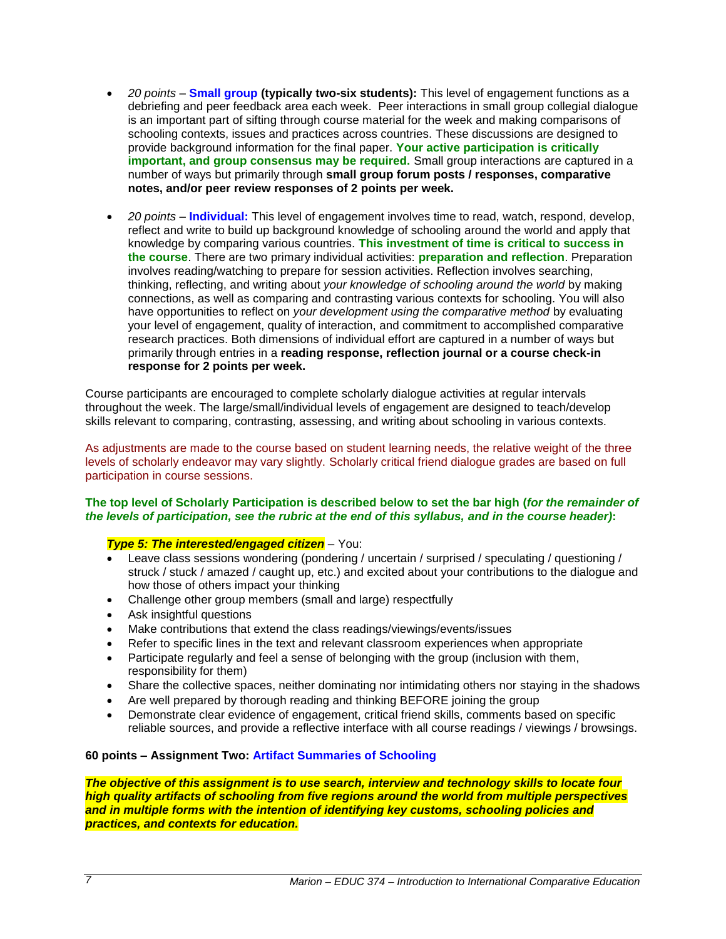- *20 points* **Small group (typically two-six students):** This level of engagement functions as a debriefing and peer feedback area each week. Peer interactions in small group collegial dialogue is an important part of sifting through course material for the week and making comparisons of schooling contexts, issues and practices across countries. These discussions are designed to provide background information for the final paper. **Your active participation is critically important, and group consensus may be required.** Small group interactions are captured in a number of ways but primarily through **small group forum posts / responses, comparative notes, and/or peer review responses of 2 points per week.**
- *20 points* **Individual:** This level of engagement involves time to read, watch, respond, develop, reflect and write to build up background knowledge of schooling around the world and apply that knowledge by comparing various countries. **This investment of time is critical to success in the course**. There are two primary individual activities: **preparation and reflection**. Preparation involves reading/watching to prepare for session activities. Reflection involves searching, thinking, reflecting, and writing about *your knowledge of schooling around the world* by making connections, as well as comparing and contrasting various contexts for schooling. You will also have opportunities to reflect on *your development using the comparative method* by evaluating your level of engagement, quality of interaction, and commitment to accomplished comparative research practices. Both dimensions of individual effort are captured in a number of ways but primarily through entries in a **reading response, reflection journal or a course check-in response for 2 points per week.**

Course participants are encouraged to complete scholarly dialogue activities at regular intervals throughout the week. The large/small/individual levels of engagement are designed to teach/develop skills relevant to comparing, contrasting, assessing, and writing about schooling in various contexts.

As adjustments are made to the course based on student learning needs, the relative weight of the three levels of scholarly endeavor may vary slightly. Scholarly critical friend dialogue grades are based on full participation in course sessions.

## **The top level of Scholarly Participation is described below to set the bar high (***for the remainder of the levels of participation, see the rubric at the end of this syllabus, and in the course header)***:**

# *Type 5: The interested/engaged citizen* – You:

- Leave class sessions wondering (pondering / uncertain / surprised / speculating / questioning / struck / stuck / amazed / caught up, etc.) and excited about your contributions to the dialogue and how those of others impact your thinking
- Challenge other group members (small and large) respectfully
- Ask insightful questions
- Make contributions that extend the class readings/viewings/events/issues
- Refer to specific lines in the text and relevant classroom experiences when appropriate
- Participate regularly and feel a sense of belonging with the group (inclusion with them, responsibility for them)
- Share the collective spaces, neither dominating nor intimidating others nor staying in the shadows
- Are well prepared by thorough reading and thinking BEFORE joining the group
- Demonstrate clear evidence of engagement, critical friend skills, comments based on specific reliable sources, and provide a reflective interface with all course readings / viewings / browsings.

## **60 points – Assignment Two: Artifact Summaries of Schooling**

*The objective of this assignment is to use search, interview and technology skills to locate four high quality artifacts of schooling from five regions around the world from multiple perspectives and in multiple forms with the intention of identifying key customs, schooling policies and practices, and contexts for education.*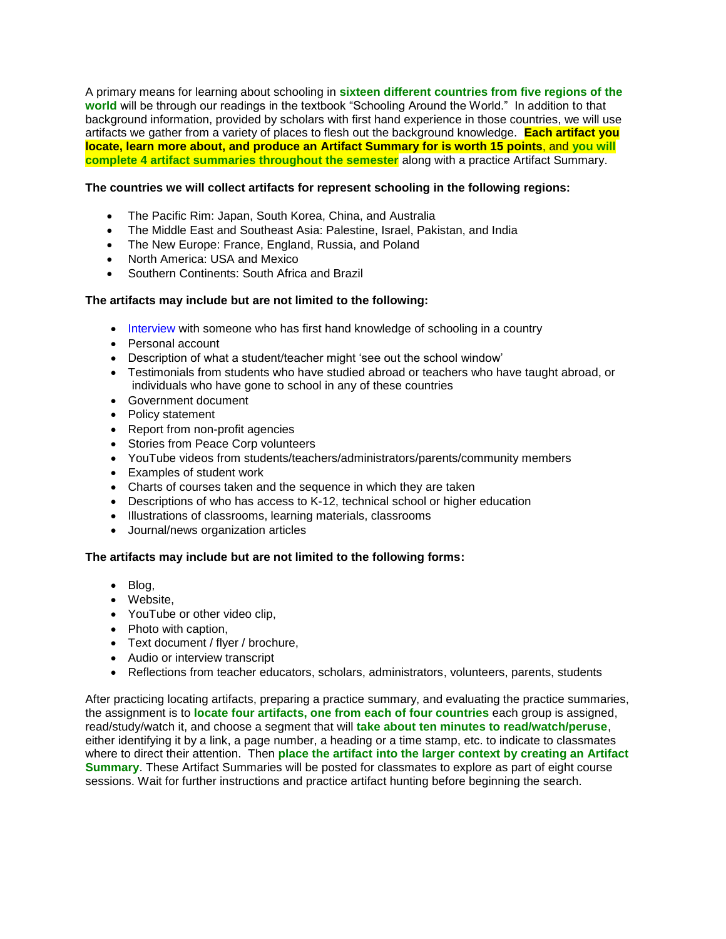A primary means for learning about schooling in **sixteen different countries from five regions of the world** will be through our readings in the textbook "Schooling Around the World." In addition to that background information, provided by scholars with first hand experience in those countries, we will use artifacts we gather from a variety of places to flesh out the background knowledge. **Each artifact you locate, learn more about, and produce an Artifact Summary for is worth 15 points**, and **you will complete 4 artifact summaries throughout the semester** along with a practice Artifact Summary.

## **The countries we will collect artifacts for represent schooling in the following regions:**

- The Pacific Rim: Japan, South Korea, China, and Australia
- The Middle East and Southeast Asia: Palestine, Israel, Pakistan, and India
- The New Europe: France, England, Russia, and Poland
- North America: USA and Mexico
- Southern Continents: South Africa and Brazil

## **The artifacts may include but are not limited to the following:**

- Interview with someone who has first hand knowledge of schooling in a country
- Personal account
- Description of what a student/teacher might 'see out the school window'
- Testimonials from students who have studied abroad or teachers who have taught abroad, or individuals who have gone to school in any of these countries
- Government document
- Policy statement
- Report from non-profit agencies
- Stories from Peace Corp volunteers
- YouTube videos from students/teachers/administrators/parents/community members
- Examples of student work
- Charts of courses taken and the sequence in which they are taken
- Descriptions of who has access to K-12, technical school or higher education
- Illustrations of classrooms, learning materials, classrooms
- Journal/news organization articles

## **The artifacts may include but are not limited to the following forms:**

- Blog,
- Website.
- YouTube or other video clip,
- Photo with caption.
- Text document / flyer / brochure,
- Audio or interview transcript
- Reflections from teacher educators, scholars, administrators, volunteers, parents, students

After practicing locating artifacts, preparing a practice summary, and evaluating the practice summaries, the assignment is to **locate four artifacts, one from each of four countries** each group is assigned, read/study/watch it, and choose a segment that will **take about ten minutes to read/watch/peruse**, either identifying it by a link, a page number, a heading or a time stamp, etc. to indicate to classmates where to direct their attention. Then **place the artifact into the larger context by creating an Artifact Summary**. These Artifact Summaries will be posted for classmates to explore as part of eight course sessions. Wait for further instructions and practice artifact hunting before beginning the search.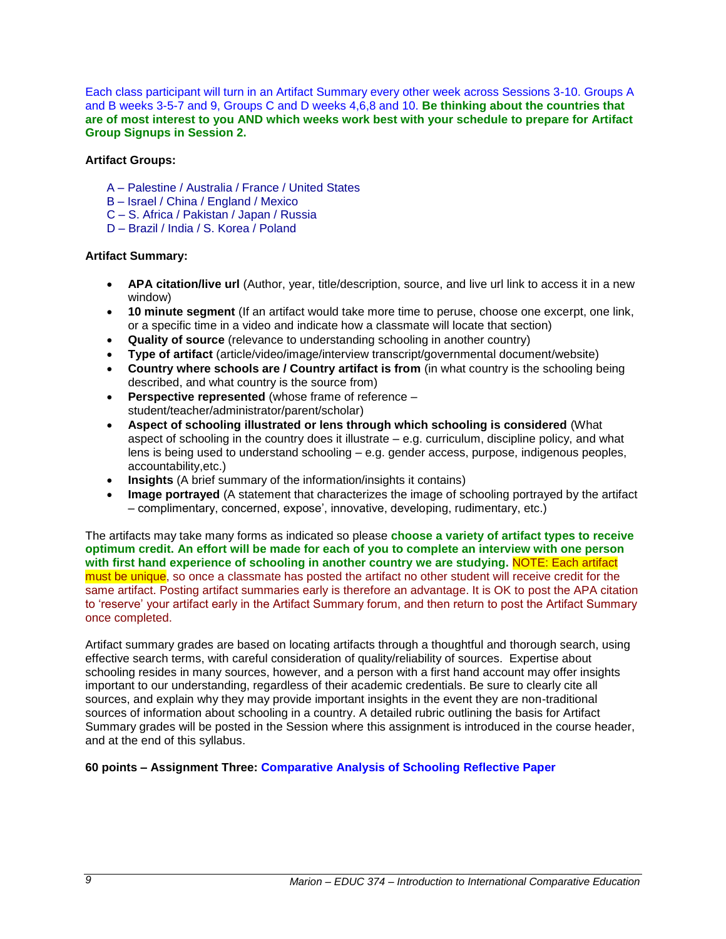Each class participant will turn in an Artifact Summary every other week across Sessions 3-10. Groups A and B weeks 3-5-7 and 9, Groups C and D weeks 4,6,8 and 10. **Be thinking about the countries that are of most interest to you AND which weeks work best with your schedule to prepare for Artifact Group Signups in Session 2.**

# **Artifact Groups:**

- A Palestine / Australia / France / United States
- B Israel / China / England / Mexico
- C S. Africa / Pakistan / Japan / Russia
- D Brazil / India / S. Korea / Poland

## **Artifact Summary:**

- **APA citation/live url** (Author, year, title/description, source, and live url link to access it in a new window)
- **10 minute segment** (If an artifact would take more time to peruse, choose one excerpt, one link, or a specific time in a video and indicate how a classmate will locate that section)
- **Quality of source** (relevance to understanding schooling in another country)
- **Type of artifact** (article/video/image/interview transcript/governmental document/website)
- **Country where schools are / Country artifact is from** (in what country is the schooling being described, and what country is the source from)
- **Perspective represented** (whose frame of reference student/teacher/administrator/parent/scholar)
- **Aspect of schooling illustrated or lens through which schooling is considered** (What aspect of schooling in the country does it illustrate – e.g. curriculum, discipline policy, and what lens is being used to understand schooling – e.g. gender access, purpose, indigenous peoples, accountability,etc.)
- **Insights** (A brief summary of the information/insights it contains)
- **Image portrayed** (A statement that characterizes the image of schooling portrayed by the artifact – complimentary, concerned, expose', innovative, developing, rudimentary, etc.)

The artifacts may take many forms as indicated so please **choose a variety of artifact types to receive optimum credit. An effort will be made for each of you to complete an interview with one person with first hand experience of schooling in another country we are studying.** NOTE: Each artifact must be unique, so once a classmate has posted the artifact no other student will receive credit for the same artifact. Posting artifact summaries early is therefore an advantage. It is OK to post the APA citation to 'reserve' your artifact early in the Artifact Summary forum, and then return to post the Artifact Summary once completed.

Artifact summary grades are based on locating artifacts through a thoughtful and thorough search, using effective search terms, with careful consideration of quality/reliability of sources. Expertise about schooling resides in many sources, however, and a person with a first hand account may offer insights important to our understanding, regardless of their academic credentials. Be sure to clearly cite all sources, and explain why they may provide important insights in the event they are non-traditional sources of information about schooling in a country. A detailed rubric outlining the basis for Artifact Summary grades will be posted in the Session where this assignment is introduced in the course header, and at the end of this syllabus.

**60 points – Assignment Three: Comparative Analysis of Schooling Reflective Paper**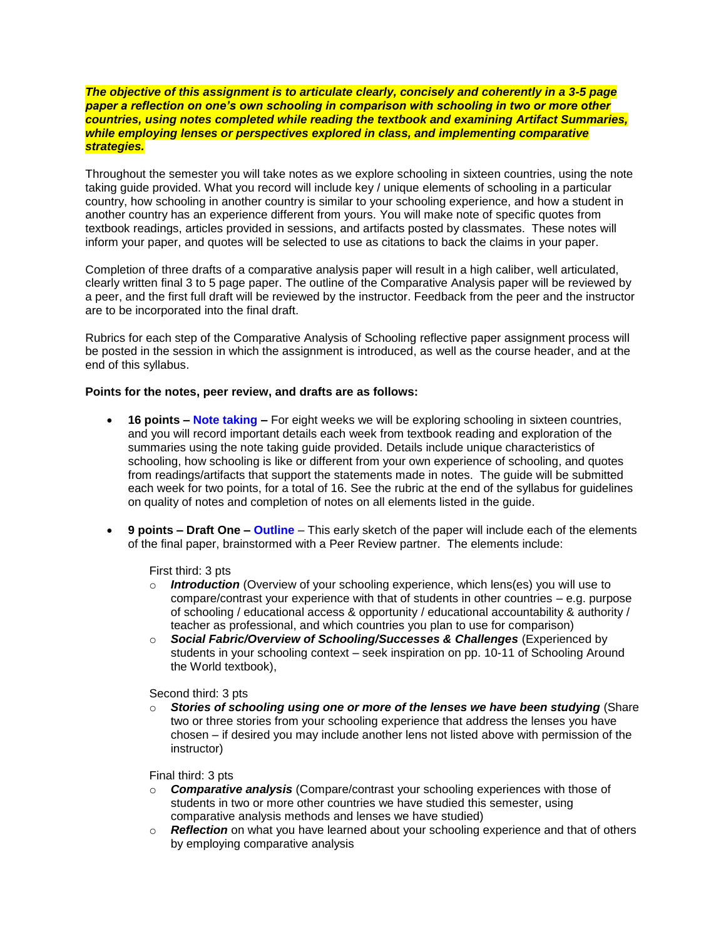*The objective of this assignment is to articulate clearly, concisely and coherently in a 3-5 page paper a reflection on one's own schooling in comparison with schooling in two or more other countries, using notes completed while reading the textbook and examining Artifact Summaries, while employing lenses or perspectives explored in class, and implementing comparative strategies.*

Throughout the semester you will take notes as we explore schooling in sixteen countries, using the note taking guide provided. What you record will include key / unique elements of schooling in a particular country, how schooling in another country is similar to your schooling experience, and how a student in another country has an experience different from yours. You will make note of specific quotes from textbook readings, articles provided in sessions, and artifacts posted by classmates. These notes will inform your paper, and quotes will be selected to use as citations to back the claims in your paper.

Completion of three drafts of a comparative analysis paper will result in a high caliber, well articulated, clearly written final 3 to 5 page paper. The outline of the Comparative Analysis paper will be reviewed by a peer, and the first full draft will be reviewed by the instructor. Feedback from the peer and the instructor are to be incorporated into the final draft.

Rubrics for each step of the Comparative Analysis of Schooling reflective paper assignment process will be posted in the session in which the assignment is introduced, as well as the course header, and at the end of this syllabus.

#### **Points for the notes, peer review, and drafts are as follows:**

- **16 points – Note taking –** For eight weeks we will be exploring schooling in sixteen countries, and you will record important details each week from textbook reading and exploration of the summaries using the note taking guide provided. Details include unique characteristics of schooling, how schooling is like or different from your own experience of schooling, and quotes from readings/artifacts that support the statements made in notes. The guide will be submitted each week for two points, for a total of 16. See the rubric at the end of the syllabus for guidelines on quality of notes and completion of notes on all elements listed in the guide.
- **9 points – Draft One – Outline** This early sketch of the paper will include each of the elements of the final paper, brainstormed with a Peer Review partner. The elements include:

## First third: 3 pts

- o *Introduction* (Overview of your schooling experience, which lens(es) you will use to compare/contrast your experience with that of students in other countries – e.g. purpose of schooling / educational access & opportunity / educational accountability & authority / teacher as professional, and which countries you plan to use for comparison)
- o *Social Fabric/Overview of Schooling/Successes & Challenges* (Experienced by students in your schooling context – seek inspiration on pp. 10-11 of Schooling Around the World textbook),

#### Second third: 3 pts

o *Stories of schooling using one or more of the lenses we have been studying* (Share two or three stories from your schooling experience that address the lenses you have chosen – if desired you may include another lens not listed above with permission of the instructor)

#### Final third: 3 pts

- o *Comparative analysis* (Compare/contrast your schooling experiences with those of students in two or more other countries we have studied this semester, using comparative analysis methods and lenses we have studied)
- o *Reflection* on what you have learned about your schooling experience and that of others by employing comparative analysis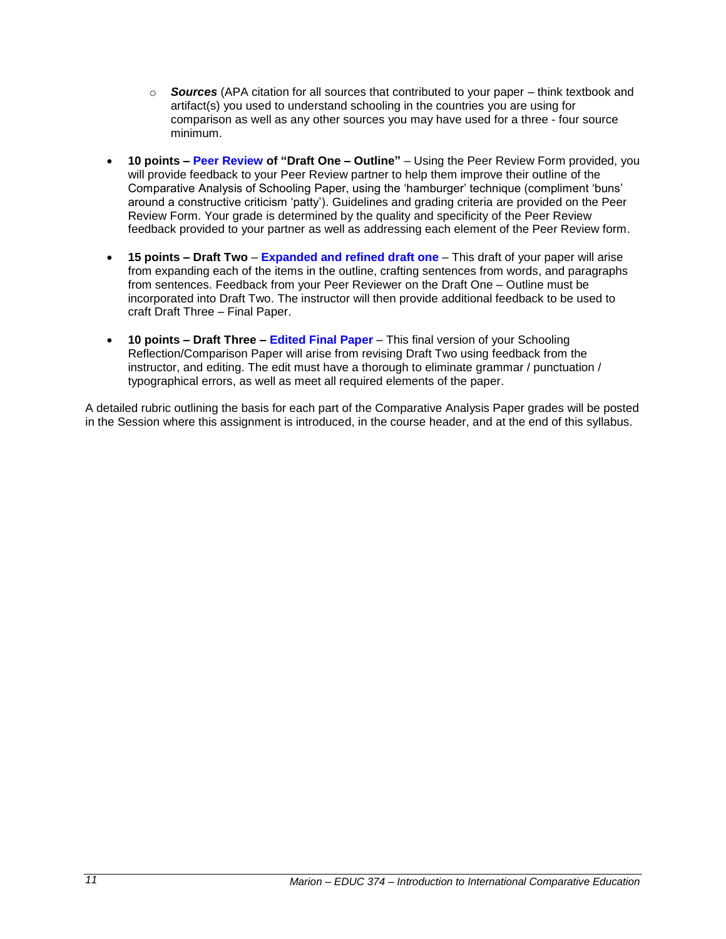- o *Sources* (APA citation for all sources that contributed to your paper think textbook and artifact(s) you used to understand schooling in the countries you are using for comparison as well as any other sources you may have used for a three - four source minimum.
- **10 points – Peer Review of "Draft One – Outline"** Using the Peer Review Form provided, you will provide feedback to your Peer Review partner to help them improve their outline of the Comparative Analysis of Schooling Paper, using the 'hamburger' technique (compliment 'buns' around a constructive criticism 'patty'). Guidelines and grading criteria are provided on the Peer Review Form. Your grade is determined by the quality and specificity of the Peer Review feedback provided to your partner as well as addressing each element of the Peer Review form.
- **15 points – Draft Two Expanded and refined draft one** This draft of your paper will arise from expanding each of the items in the outline, crafting sentences from words, and paragraphs from sentences. Feedback from your Peer Reviewer on the Draft One – Outline must be incorporated into Draft Two. The instructor will then provide additional feedback to be used to craft Draft Three – Final Paper.
- **10 points – Draft Three – Edited Final Paper** This final version of your Schooling Reflection/Comparison Paper will arise from revising Draft Two using feedback from the instructor, and editing. The edit must have a thorough to eliminate grammar / punctuation / typographical errors, as well as meet all required elements of the paper.

A detailed rubric outlining the basis for each part of the Comparative Analysis Paper grades will be posted in the Session where this assignment is introduced, in the course header, and at the end of this syllabus.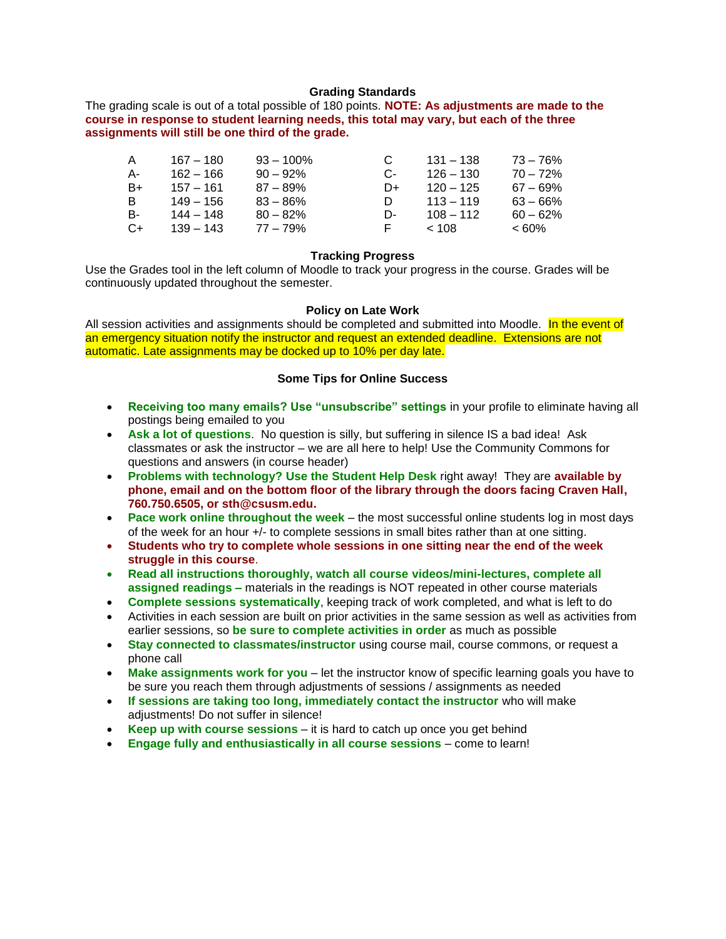#### **Grading Standards**

<span id="page-11-0"></span>The grading scale is out of a total possible of 180 points. **NOTE: As adjustments are made to the course in response to student learning needs, this total may vary, but each of the three assignments will still be one third of the grade.**

| А    | 167 – 180   | $93 - 100\%$ |    | $131 - 138$ | 73 – 76%    |
|------|-------------|--------------|----|-------------|-------------|
| А-   | 162 – 166   | $90 - 92\%$  | C- | 126 – 130   | $70 - 72%$  |
| B+   | $157 - 161$ | $87 - 89\%$  | D+ | $120 - 125$ | $67 - 69\%$ |
| R    | 149 – 156   | $83 - 86%$   |    | $113 - 119$ | $63 - 66\%$ |
| B-   | 144 – 148   | $80 - 82%$   | D- | $108 - 112$ | $60 - 62%$  |
| $C+$ | $139 - 143$ | 77 – 79%     |    | < 108       | $<60\%$     |

### **Tracking Progress**

<span id="page-11-1"></span>Use the Grades tool in the left column of Moodle to track your progress in the course. Grades will be continuously updated throughout the semester.

## **Policy on Late Work**

<span id="page-11-2"></span>All session activities and assignments should be completed and submitted into Moodle. In the event of an emergency situation notify the instructor and request an extended deadline. Extensions are not automatic. Late assignments may be docked up to 10% per day late.

## **Some Tips for Online Success**

- <span id="page-11-3"></span> **Receiving too many emails? Use "unsubscribe" settings** in your profile to eliminate having all postings being emailed to you
- **Ask a lot of questions**. No question is silly, but suffering in silence IS a bad idea! Ask classmates or ask the instructor – we are all here to help! Use the Community Commons for questions and answers (in course header)
- **Problems with technology? Use the Student Help Desk** right away! They are **available by phone, email and on the bottom floor of the library through the doors facing Craven Hall, 760.750.6505, or sth@csusm.edu.**
- **Pace work online throughout the week** the most successful online students log in most days of the week for an hour +/- to complete sessions in small bites rather than at one sitting.
- **Students who try to complete whole sessions in one sitting near the end of the week struggle in this course**.
- **Read all instructions thoroughly, watch all course videos/mini-lectures, complete all assigned readings –** materials in the readings is NOT repeated in other course materials
- **Complete sessions systematically**, keeping track of work completed, and what is left to do
- Activities in each session are built on prior activities in the same session as well as activities from earlier sessions, so **be sure to complete activities in order** as much as possible
- **Stay connected to classmates/instructor** using course mail, course commons, or request a phone call
- **Make assignments work for you** let the instructor know of specific learning goals you have to be sure you reach them through adjustments of sessions / assignments as needed
- **If sessions are taking too long, immediately contact the instructor** who will make adjustments! Do not suffer in silence!
- **Keep up with course sessions** it is hard to catch up once you get behind
- **Engage fully and enthusiastically in all course sessions** come to learn!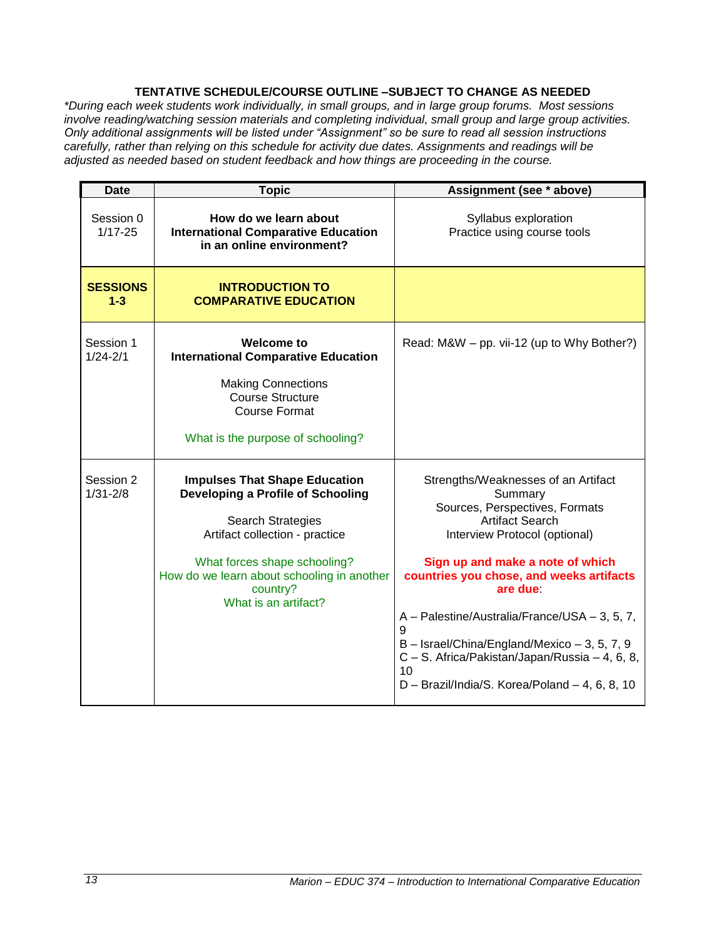# **TENTATIVE SCHEDULE/COURSE OUTLINE –SUBJECT TO CHANGE AS NEEDED**

<span id="page-12-0"></span>*\*During each week students work individually, in small groups, and in large group forums. Most sessions involve reading/watching session materials and completing individual, small group and large group activities. Only additional assignments will be listed under "Assignment" so be sure to read all session instructions carefully, rather than relying on this schedule for activity due dates. Assignments and readings will be adjusted as needed based on student feedback and how things are proceeding in the course.*

| <b>Date</b>                | <b>Topic</b>                                                                                                                                                                  | Assignment (see * above)                                                                                                                                                                                                                                                                                    |
|----------------------------|-------------------------------------------------------------------------------------------------------------------------------------------------------------------------------|-------------------------------------------------------------------------------------------------------------------------------------------------------------------------------------------------------------------------------------------------------------------------------------------------------------|
| Session 0<br>$1/17 - 25$   | How do we learn about<br><b>International Comparative Education</b><br>in an online environment?                                                                              | Syllabus exploration<br>Practice using course tools                                                                                                                                                                                                                                                         |
| <b>SESSIONS</b><br>$1 - 3$ | <b>INTRODUCTION TO</b><br><b>COMPARATIVE EDUCATION</b>                                                                                                                        |                                                                                                                                                                                                                                                                                                             |
| Session 1<br>$1/24 - 2/1$  | Welcome to<br><b>International Comparative Education</b><br><b>Making Connections</b><br><b>Course Structure</b><br><b>Course Format</b><br>What is the purpose of schooling? | Read: M&W – pp. vii-12 (up to Why Bother?)                                                                                                                                                                                                                                                                  |
|                            |                                                                                                                                                                               |                                                                                                                                                                                                                                                                                                             |
| Session 2<br>$1/31 - 2/8$  | <b>Impulses That Shape Education</b><br><b>Developing a Profile of Schooling</b><br>Search Strategies<br>Artifact collection - practice                                       | Strengths/Weaknesses of an Artifact<br>Summary<br>Sources, Perspectives, Formats<br><b>Artifact Search</b><br>Interview Protocol (optional)                                                                                                                                                                 |
|                            | What forces shape schooling?<br>How do we learn about schooling in another<br>country?<br>What is an artifact?                                                                | Sign up and make a note of which<br>countries you chose, and weeks artifacts<br>are due<br>A - Palestine/Australia/France/USA - 3, 5, 7,<br>9<br>$B -$ Israel/China/England/Mexico $-3$ , 5, 7, 9<br>C - S. Africa/Pakistan/Japan/Russia - 4, 6, 8,<br>10<br>D - Brazil/India/S. Korea/Poland - 4, 6, 8, 10 |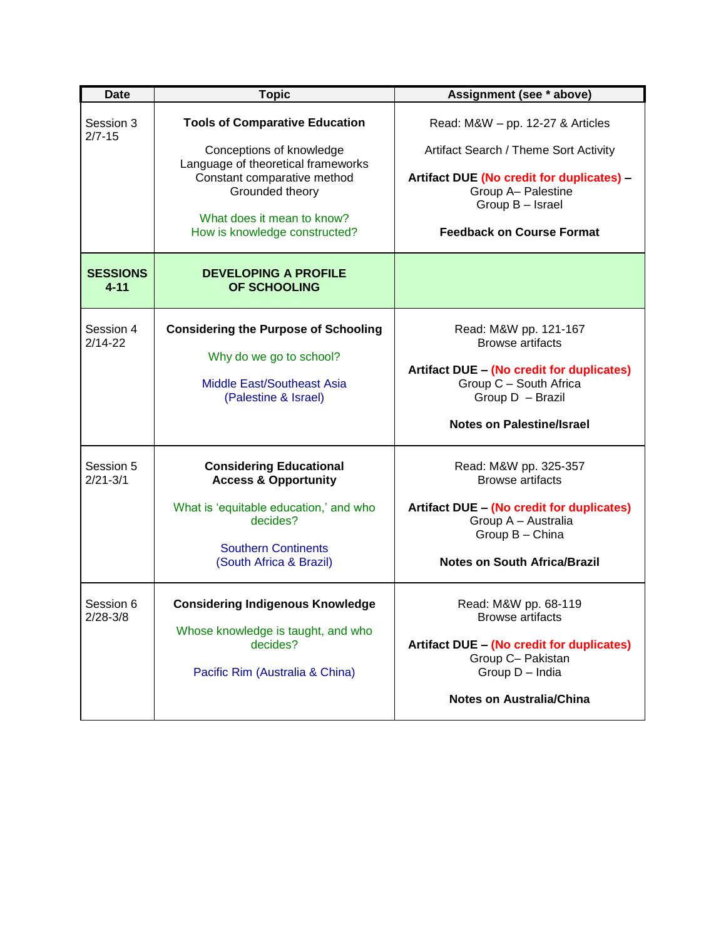| <b>Date</b>                 | <b>Topic</b>                                                                                                                                                                                                             | Assignment (see * above)                                                                                                                                                                             |
|-----------------------------|--------------------------------------------------------------------------------------------------------------------------------------------------------------------------------------------------------------------------|------------------------------------------------------------------------------------------------------------------------------------------------------------------------------------------------------|
| Session 3<br>$2/7 - 15$     | <b>Tools of Comparative Education</b><br>Conceptions of knowledge<br>Language of theoretical frameworks<br>Constant comparative method<br>Grounded theory<br>What does it mean to know?<br>How is knowledge constructed? | Read: M&W - pp. 12-27 & Articles<br>Artifact Search / Theme Sort Activity<br>Artifact DUE (No credit for duplicates) -<br>Group A- Palestine<br>Group B - Israel<br><b>Feedback on Course Format</b> |
| <b>SESSIONS</b><br>$4 - 11$ | <b>DEVELOPING A PROFILE</b><br>OF SCHOOLING                                                                                                                                                                              |                                                                                                                                                                                                      |
| Session 4<br>$2/14 - 22$    | <b>Considering the Purpose of Schooling</b><br>Why do we go to school?<br><b>Middle East/Southeast Asia</b><br>(Palestine & Israel)                                                                                      | Read: M&W pp. 121-167<br><b>Browse artifacts</b><br>Artifact DUE - (No credit for duplicates)<br>Group C - South Africa<br>Group D - Brazil<br><b>Notes on Palestine/Israel</b>                      |
| Session 5<br>$2/21 - 3/1$   | <b>Considering Educational</b><br><b>Access &amp; Opportunity</b><br>What is 'equitable education,' and who<br>decides?<br><b>Southern Continents</b><br>(South Africa & Brazil)                                         | Read: M&W pp. 325-357<br><b>Browse artifacts</b><br><b>Artifact DUE - (No credit for duplicates)</b><br>Group A - Australia<br>Group B - China<br><b>Notes on South Africa/Brazil</b>                |
| Session 6<br>2/28-3/8       | <b>Considering Indigenous Knowledge</b><br>Whose knowledge is taught, and who<br>decides?<br>Pacific Rim (Australia & China)                                                                                             | Read: M&W pp. 68-119<br>Browse artifacts<br>Artifact DUE - (No credit for duplicates)<br>Group C- Pakistan<br>Group D - India<br><b>Notes on Australia/China</b>                                     |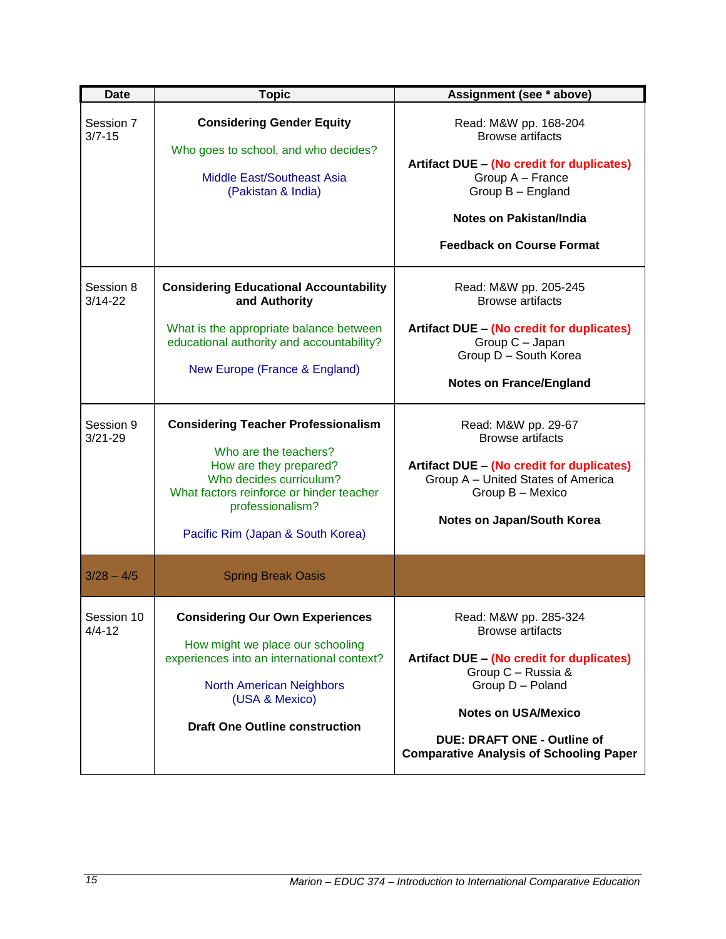| <b>Date</b>              | <b>Topic</b>                                                                                                                                                                                                                  | Assignment (see * above)                                                                                                                                                                                                                                      |
|--------------------------|-------------------------------------------------------------------------------------------------------------------------------------------------------------------------------------------------------------------------------|---------------------------------------------------------------------------------------------------------------------------------------------------------------------------------------------------------------------------------------------------------------|
| Session 7<br>$3/7 - 15$  | <b>Considering Gender Equity</b><br>Who goes to school, and who decides?<br>Middle East/Southeast Asia<br>(Pakistan & India)                                                                                                  | Read: M&W pp. 168-204<br><b>Browse artifacts</b><br>Artifact DUE - (No credit for duplicates)<br>Group A - France<br>Group B - England<br><b>Notes on Pakistan/India</b><br><b>Feedback on Course Format</b>                                                  |
| Session 8<br>$3/14 - 22$ | <b>Considering Educational Accountability</b><br>and Authority<br>What is the appropriate balance between<br>educational authority and accountability?<br>New Europe (France & England)                                       | Read: M&W pp. 205-245<br><b>Browse artifacts</b><br>Artifact DUE - (No credit for duplicates)<br>Group C - Japan<br>Group D - South Korea<br><b>Notes on France/England</b>                                                                                   |
| Session 9<br>$3/21 - 29$ | <b>Considering Teacher Professionalism</b><br>Who are the teachers?<br>How are they prepared?<br>Who decides curriculum?<br>What factors reinforce or hinder teacher<br>professionalism?<br>Pacific Rim (Japan & South Korea) | Read: M&W pp. 29-67<br><b>Browse artifacts</b><br><b>Artifact DUE - (No credit for duplicates)</b><br>Group A - United States of America<br>Group B - Mexico<br>Notes on Japan/South Korea                                                                    |
| $3/28 - 4/5$             | <b>Spring Break Oasis</b>                                                                                                                                                                                                     |                                                                                                                                                                                                                                                               |
| Session 10<br>$4/4 - 12$ | <b>Considering Our Own Experiences</b><br>How might we place our schooling<br>experiences into an international context?<br><b>North American Neighbors</b><br>(USA & Mexico)<br><b>Draft One Outline construction</b>        | Read: M&W pp. 285-324<br><b>Browse artifacts</b><br>Artifact DUE - (No credit for duplicates)<br>Group C - Russia &<br>Group D - Poland<br><b>Notes on USA/Mexico</b><br><b>DUE: DRAFT ONE - Outline of</b><br><b>Comparative Analysis of Schooling Paper</b> |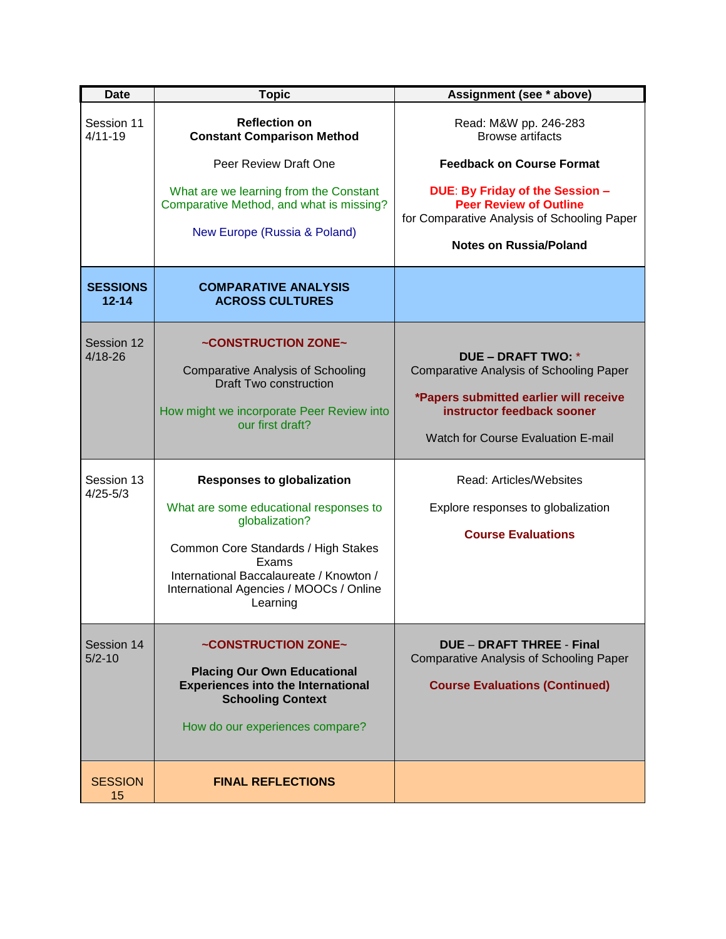| <b>Date</b>                  | <b>Topic</b>                                                                                                                                                                                                                                    | Assignment (see * above)                                                                                                                                                                  |
|------------------------------|-------------------------------------------------------------------------------------------------------------------------------------------------------------------------------------------------------------------------------------------------|-------------------------------------------------------------------------------------------------------------------------------------------------------------------------------------------|
| Session 11<br>$4/11 - 19$    | <b>Reflection on</b><br><b>Constant Comparison Method</b>                                                                                                                                                                                       | Read: M&W pp. 246-283<br><b>Browse artifacts</b>                                                                                                                                          |
|                              | Peer Review Draft One                                                                                                                                                                                                                           | <b>Feedback on Course Format</b>                                                                                                                                                          |
|                              | What are we learning from the Constant<br>Comparative Method, and what is missing?<br>New Europe (Russia & Poland)                                                                                                                              | DUE: By Friday of the Session -<br><b>Peer Review of Outline</b><br>for Comparative Analysis of Schooling Paper                                                                           |
|                              |                                                                                                                                                                                                                                                 | <b>Notes on Russia/Poland</b>                                                                                                                                                             |
| <b>SESSIONS</b><br>$12 - 14$ | <b>COMPARATIVE ANALYSIS</b><br><b>ACROSS CULTURES</b>                                                                                                                                                                                           |                                                                                                                                                                                           |
| Session 12<br>$4/18 - 26$    | ~CONSTRUCTION ZONE~<br><b>Comparative Analysis of Schooling</b><br><b>Draft Two construction</b><br>How might we incorporate Peer Review into<br>our first draft?                                                                               | DUE – DRAFT TWO: *<br><b>Comparative Analysis of Schooling Paper</b><br>*Papers submitted earlier will receive<br>instructor feedback sooner<br><b>Watch for Course Evaluation E-mail</b> |
| Session 13<br>$4/25 - 5/3$   | <b>Responses to globalization</b><br>What are some educational responses to<br>globalization?<br>Common Core Standards / High Stakes<br>Exams<br>International Baccalaureate / Knowton /<br>International Agencies / MOOCs / Online<br>Learning | Read: Articles/Websites<br>Explore responses to globalization<br><b>Course Evaluations</b>                                                                                                |
| Session 14<br>$5/2 - 10$     | ~CONSTRUCTION ZONE~<br><b>Placing Our Own Educational</b><br><b>Experiences into the International</b><br><b>Schooling Context</b><br>How do our experiences compare?                                                                           | <b>DUE - DRAFT THREE - Final</b><br><b>Comparative Analysis of Schooling Paper</b><br><b>Course Evaluations (Continued)</b>                                                               |
| <b>SESSION</b><br>15         | <b>FINAL REFLECTIONS</b>                                                                                                                                                                                                                        |                                                                                                                                                                                           |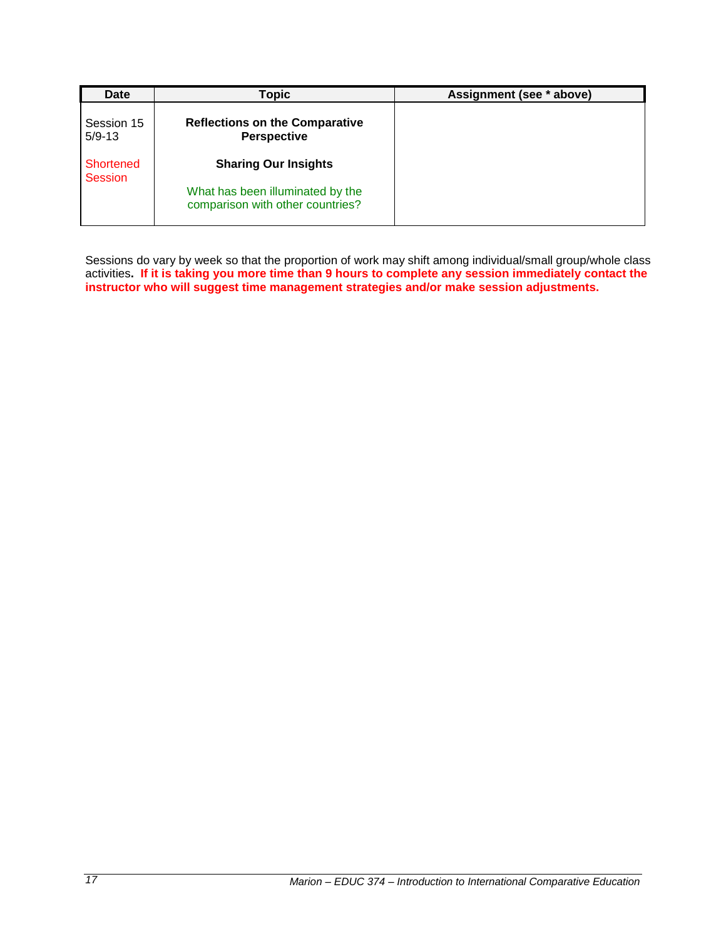| <b>Date</b>                 | <b>Topic</b>                                                         | Assignment (see * above) |
|-----------------------------|----------------------------------------------------------------------|--------------------------|
| Session 15<br>$5/9 - 13$    | <b>Reflections on the Comparative</b><br><b>Perspective</b>          |                          |
| Shortened<br><b>Session</b> | <b>Sharing Our Insights</b>                                          |                          |
|                             | What has been illuminated by the<br>comparison with other countries? |                          |

Sessions do vary by week so that the proportion of work may shift among individual/small group/whole class activities**. If it is taking you more time than 9 hours to complete any session immediately contact the instructor who will suggest time management strategies and/or make session adjustments.**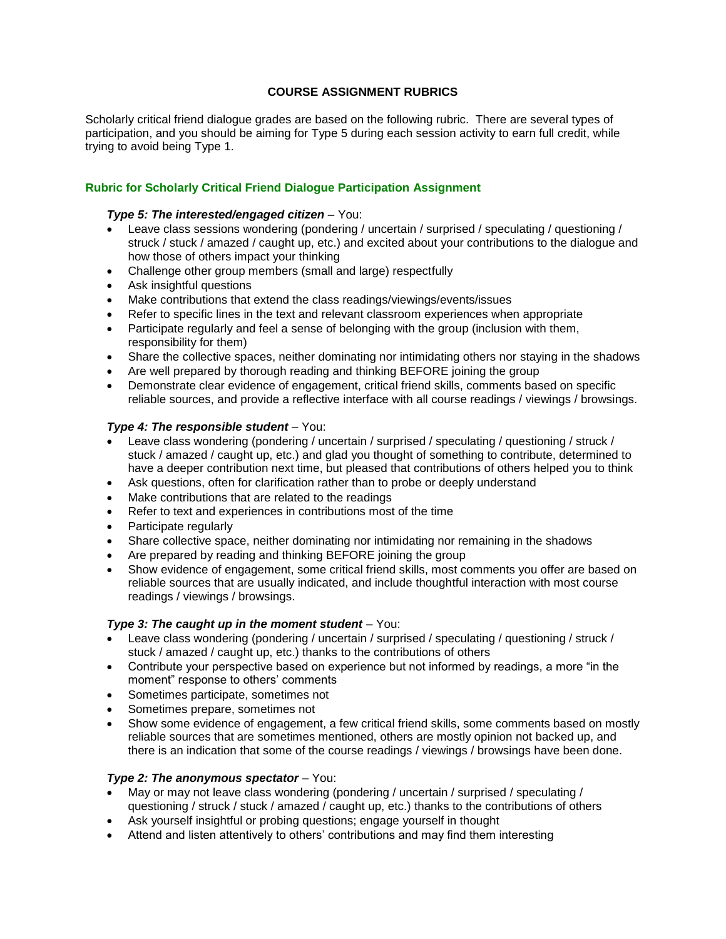# **COURSE ASSIGNMENT RUBRICS**

<span id="page-17-0"></span>Scholarly critical friend dialogue grades are based on the following rubric. There are several types of participation, and you should be aiming for Type 5 during each session activity to earn full credit, while trying to avoid being Type 1.

# **Rubric for Scholarly Critical Friend Dialogue Participation Assignment**

## *Type 5: The interested/engaged citizen* – You:

- Leave class sessions wondering (pondering / uncertain / surprised / speculating / questioning / struck / stuck / amazed / caught up, etc.) and excited about your contributions to the dialogue and how those of others impact your thinking
- Challenge other group members (small and large) respectfully
- Ask insightful questions
- Make contributions that extend the class readings/viewings/events/issues
- Refer to specific lines in the text and relevant classroom experiences when appropriate
- Participate regularly and feel a sense of belonging with the group (inclusion with them, responsibility for them)
- Share the collective spaces, neither dominating nor intimidating others nor staying in the shadows
- Are well prepared by thorough reading and thinking BEFORE joining the group
- Demonstrate clear evidence of engagement, critical friend skills, comments based on specific reliable sources, and provide a reflective interface with all course readings / viewings / browsings.

## *Type 4: The responsible student* – You:

- Leave class wondering (pondering / uncertain / surprised / speculating / questioning / struck / stuck / amazed / caught up, etc.) and glad you thought of something to contribute, determined to have a deeper contribution next time, but pleased that contributions of others helped you to think
- Ask questions, often for clarification rather than to probe or deeply understand
- Make contributions that are related to the readings
- Refer to text and experiences in contributions most of the time
- Participate regularly
- Share collective space, neither dominating nor intimidating nor remaining in the shadows
- Are prepared by reading and thinking BEFORE joining the group
- Show evidence of engagement, some critical friend skills, most comments you offer are based on reliable sources that are usually indicated, and include thoughtful interaction with most course readings / viewings / browsings.

## *Type 3: The caught up in the moment student* – You:

- Leave class wondering (pondering / uncertain / surprised / speculating / questioning / struck / stuck / amazed / caught up, etc.) thanks to the contributions of others
- Contribute your perspective based on experience but not informed by readings, a more "in the moment" response to others' comments
- Sometimes participate, sometimes not
- Sometimes prepare, sometimes not
- Show some evidence of engagement, a few critical friend skills, some comments based on mostly reliable sources that are sometimes mentioned, others are mostly opinion not backed up, and there is an indication that some of the course readings / viewings / browsings have been done.

## *Type 2: The anonymous spectator* – You:

- May or may not leave class wondering (pondering / uncertain / surprised / speculating / questioning / struck / stuck / amazed / caught up, etc.) thanks to the contributions of others
- Ask yourself insightful or probing questions; engage yourself in thought
- Attend and listen attentively to others' contributions and may find them interesting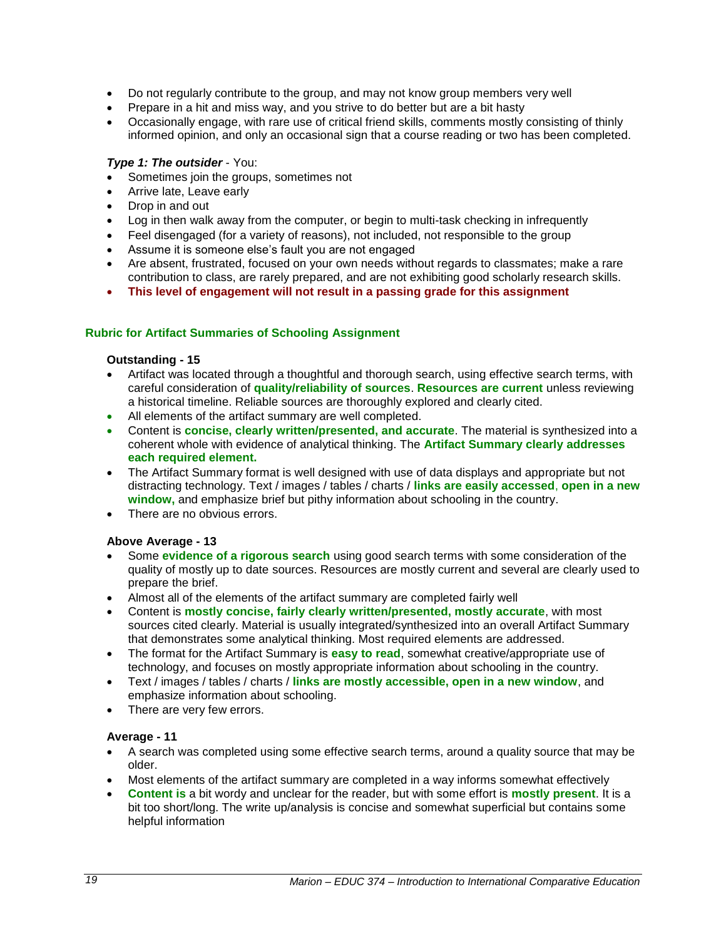- Do not regularly contribute to the group, and may not know group members very well
- Prepare in a hit and miss way, and you strive to do better but are a bit hasty
- Occasionally engage, with rare use of critical friend skills, comments mostly consisting of thinly informed opinion, and only an occasional sign that a course reading or two has been completed.

# *Type 1: The outsider* - You:

- Sometimes join the groups, sometimes not
- Arrive late, Leave early
- Drop in and out
- Log in then walk away from the computer, or begin to multi-task checking in infrequently
- Feel disengaged (for a variety of reasons), not included, not responsible to the group
- Assume it is someone else's fault you are not engaged
- Are absent, frustrated, focused on your own needs without regards to classmates; make a rare contribution to class, are rarely prepared, and are not exhibiting good scholarly research skills.
- **This level of engagement will not result in a passing grade for this assignment**

## **Rubric for Artifact Summaries of Schooling Assignment**

## **Outstanding - 15**

- Artifact was located through a thoughtful and thorough search, using effective search terms, with careful consideration of **quality/reliability of sources**. **Resources are current** unless reviewing a historical timeline. Reliable sources are thoroughly explored and clearly cited.
- All elements of the artifact summary are well completed.
- Content is **concise, clearly written/presented, and accurate**. The material is synthesized into a coherent whole with evidence of analytical thinking. The **Artifact Summary clearly addresses each required element.**
- The Artifact Summary format is well designed with use of data displays and appropriate but not distracting technology. Text / images / tables / charts / **links are easily accessed**, **open in a new window,** and emphasize brief but pithy information about schooling in the country.
- There are no obvious errors.

## **Above Average - 13**

- Some **evidence of a rigorous search** using good search terms with some consideration of the quality of mostly up to date sources. Resources are mostly current and several are clearly used to prepare the brief.
- Almost all of the elements of the artifact summary are completed fairly well
- Content is **mostly concise, fairly clearly written/presented, mostly accurate**, with most sources cited clearly. Material is usually integrated/synthesized into an overall Artifact Summary that demonstrates some analytical thinking. Most required elements are addressed.
- The format for the Artifact Summary is **easy to read**, somewhat creative/appropriate use of technology, and focuses on mostly appropriate information about schooling in the country.
- Text / images / tables / charts / **links are mostly accessible, open in a new window**, and emphasize information about schooling.
- There are very few errors.

# **Average - 11**

- A search was completed using some effective search terms, around a quality source that may be older.
- Most elements of the artifact summary are completed in a way informs somewhat effectively
- **Content is** a bit wordy and unclear for the reader, but with some effort is **mostly present**. It is a bit too short/long. The write up/analysis is concise and somewhat superficial but contains some helpful information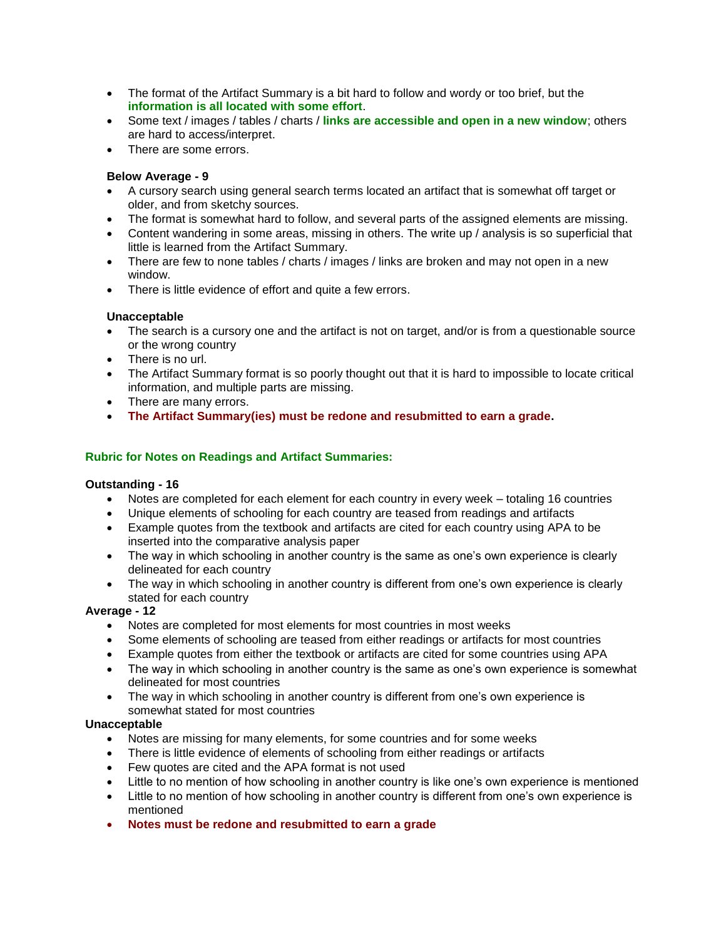- The format of the Artifact Summary is a bit hard to follow and wordy or too brief, but the **information is all located with some effort**.
- Some text / images / tables / charts / **links are accessible and open in a new window**; others are hard to access/interpret.
- There are some errors.

## **Below Average - 9**

- A cursory search using general search terms located an artifact that is somewhat off target or older, and from sketchy sources.
- The format is somewhat hard to follow, and several parts of the assigned elements are missing.
- Content wandering in some areas, missing in others. The write up / analysis is so superficial that little is learned from the Artifact Summary.
- There are few to none tables / charts / images / links are broken and may not open in a new window.
- There is little evidence of effort and quite a few errors.

## **Unacceptable**

- The search is a cursory one and the artifact is not on target, and/or is from a questionable source or the wrong country
- There is no url.
- The Artifact Summary format is so poorly thought out that it is hard to impossible to locate critical information, and multiple parts are missing.
- There are many errors.
- **The Artifact Summary(ies) must be redone and resubmitted to earn a grade.**

## **Rubric for Notes on Readings and Artifact Summaries:**

## **Outstanding - 16**

- Notes are completed for each element for each country in every week totaling 16 countries
- Unique elements of schooling for each country are teased from readings and artifacts
- Example quotes from the textbook and artifacts are cited for each country using APA to be inserted into the comparative analysis paper
- The way in which schooling in another country is the same as one's own experience is clearly delineated for each country
- The way in which schooling in another country is different from one's own experience is clearly stated for each country

## **Average - 12**

- Notes are completed for most elements for most countries in most weeks
- Some elements of schooling are teased from either readings or artifacts for most countries
- Example quotes from either the textbook or artifacts are cited for some countries using APA
- The way in which schooling in another country is the same as one's own experience is somewhat delineated for most countries
- The way in which schooling in another country is different from one's own experience is somewhat stated for most countries

## **Unacceptable**

- Notes are missing for many elements, for some countries and for some weeks
- There is little evidence of elements of schooling from either readings or artifacts
- Few quotes are cited and the APA format is not used
- Little to no mention of how schooling in another country is like one's own experience is mentioned
- Little to no mention of how schooling in another country is different from one's own experience is mentioned
- **Notes must be redone and resubmitted to earn a grade**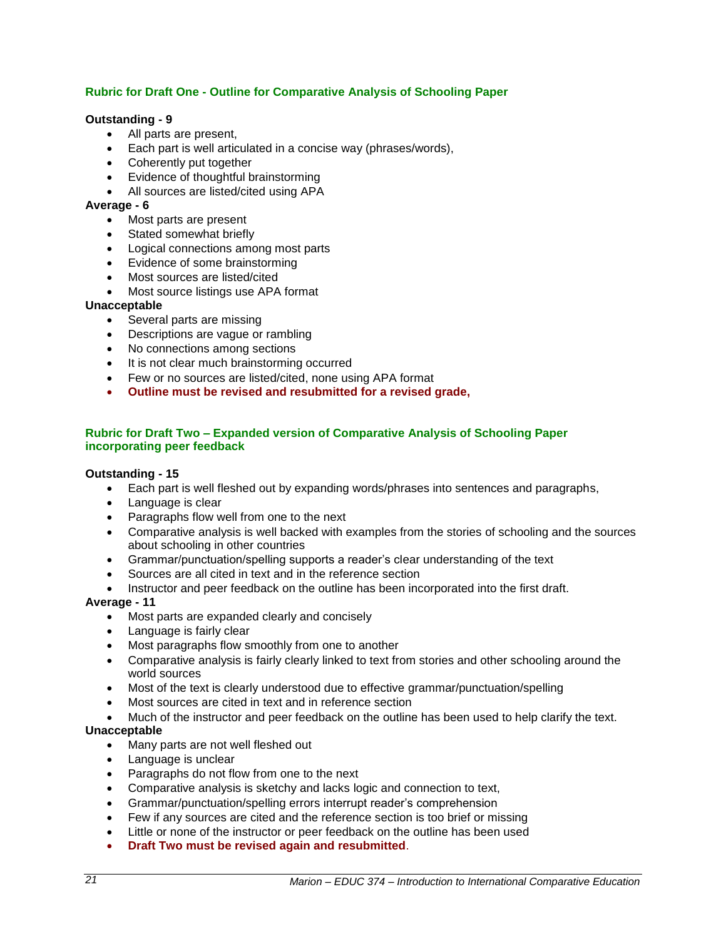# **Rubric for Draft One - Outline for Comparative Analysis of Schooling Paper**

## **Outstanding - 9**

- All parts are present,
- Each part is well articulated in a concise way (phrases/words),
- Coherently put together
- Evidence of thoughtful brainstorming
- All sources are listed/cited using APA

## **Average - 6**

- Most parts are present
- Stated somewhat briefly
- Logical connections among most parts
- Evidence of some brainstorming
- Most sources are listed/cited
- Most source listings use APA format

## **Unacceptable**

- Several parts are missing
- Descriptions are vague or rambling
- No connections among sections
- It is not clear much brainstorming occurred
- Few or no sources are listed/cited, none using APA format
- **Outline must be revised and resubmitted for a revised grade,**

## **Rubric for Draft Two – Expanded version of Comparative Analysis of Schooling Paper incorporating peer feedback**

## **Outstanding - 15**

- Each part is well fleshed out by expanding words/phrases into sentences and paragraphs,
- Language is clear
- Paragraphs flow well from one to the next
- Comparative analysis is well backed with examples from the stories of schooling and the sources about schooling in other countries
- Grammar/punctuation/spelling supports a reader's clear understanding of the text
- Sources are all cited in text and in the reference section
- Instructor and peer feedback on the outline has been incorporated into the first draft.

# **Average - 11**

- Most parts are expanded clearly and concisely
- Language is fairly clear
- Most paragraphs flow smoothly from one to another
- Comparative analysis is fairly clearly linked to text from stories and other schooling around the world sources
- Most of the text is clearly understood due to effective grammar/punctuation/spelling
- Most sources are cited in text and in reference section
- Much of the instructor and peer feedback on the outline has been used to help clarify the text.

## **Unacceptable**

- Many parts are not well fleshed out
- Language is unclear
- Paragraphs do not flow from one to the next
- Comparative analysis is sketchy and lacks logic and connection to text,
- Grammar/punctuation/spelling errors interrupt reader's comprehension
- Few if any sources are cited and the reference section is too brief or missing
- Little or none of the instructor or peer feedback on the outline has been used
- **Draft Two must be revised again and resubmitted**.